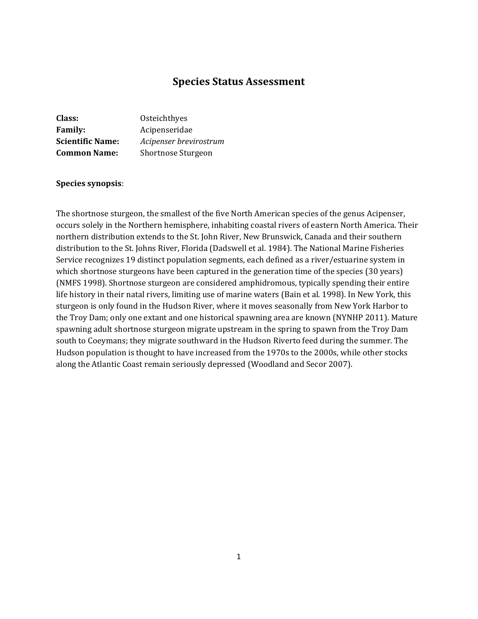# **Species Status Assessment**

| Class:                  | Osteichthyes              |
|-------------------------|---------------------------|
| <b>Family:</b>          | Acipenseridae             |
| <b>Scientific Name:</b> | Acipenser brevirostrum    |
| <b>Common Name:</b>     | <b>Shortnose Sturgeon</b> |

#### **Species synopsis**:

The shortnose sturgeon, the smallest of the five North American species of the genus Acipenser, occurs solely in the Northern hemisphere, inhabiting coastal rivers of eastern North America. Their northern distribution extends to the St. John River, New Brunswick, Canada and their southern distribution to the St. Johns River, Florida (Dadswell et al. 1984). The National Marine Fisheries Service recognizes 19 distinct population segments, each defined as a river/estuarine system in which shortnose sturgeons have been captured in the generation time of the species (30 years) (NMFS 1998). Shortnose sturgeon are considered amphidromous, typically spending their entire life history in their natal rivers, limiting use of marine waters (Bain et al. 1998). In New York, this sturgeon is only found in the Hudson River, where it moves seasonally from New York Harbor to the Troy Dam; only one extant and one historical spawning area are known (NYNHP 2011). Mature spawning adult shortnose sturgeon migrate upstream in the spring to spawn from the Troy Dam south to Coeymans; they migrate southward in the Hudson Riverto feed during the summer. The Hudson population is thought to have increased from the 1970s to the 2000s, while other stocks along the Atlantic Coast remain seriously depressed (Woodland and Secor 2007).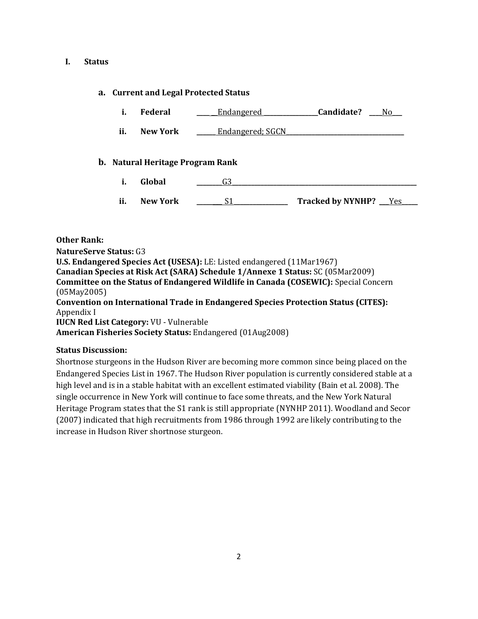#### **I. Status**

### **a. Current and Legal Protected Status**

- **i. Federal \_\_\_\_ \_**\_Endangered **\_\_\_\_\_\_\_\_\_\_\_\_\_\_\_\_\_Candidate? \_\_\_\_**No**\_\_\_**
- **ii. New York \_\_\_\_\_** Endangered; SGCN

#### **b. Natural Heritage Program Rank**

- **i. Global \_\_\_\_\_\_\_\_**G3**\_\_\_\_\_\_\_\_\_\_\_\_\_\_\_\_\_\_\_\_\_\_\_\_\_\_\_\_\_\_\_\_\_\_\_\_\_\_\_\_\_\_\_\_\_\_\_\_\_\_\_\_\_\_\_\_\_\_**
- **ii. New York \_\_\_\_\_\_\_\_** S1**\_\_\_\_\_\_\_\_\_\_\_\_\_\_\_\_\_ Tracked by NYNHP?** \_\_\_Yes**\_\_\_\_\_**

## **Other Rank:**

**NatureServe Status:** G3 **U.S. Endangered Species Act (USESA):** LE: Listed endangered (11Mar1967) **Canadian Species at Risk Act (SARA) Schedule 1/Annexe 1 Status:** SC (05Mar2009) **Committee on the Status of Endangered Wildlife in Canada (COSEWIC):** Special Concern (05May2005) **Convention on International Trade in Endangered Species Protection Status (CITES):** Appendix I **IUCN Red List Category:** VU - Vulnerable

**American Fisheries Society Status:** Endangered (01Aug2008)

### **Status Discussion:**

Shortnose sturgeons in the Hudson River are becoming more common since being placed on the Endangered Species List in 1967. The Hudson River population is currently considered stable at a high level and is in a stable habitat with an excellent estimated viability (Bain et al. 2008). The single occurrence in New York will continue to face some threats, and the New York Natural Heritage Program states that the S1 rank is still appropriate (NYNHP 2011). Woodland and Secor (2007) indicated that high recruitments from 1986 through 1992 are likely contributing to the increase in Hudson River shortnose sturgeon.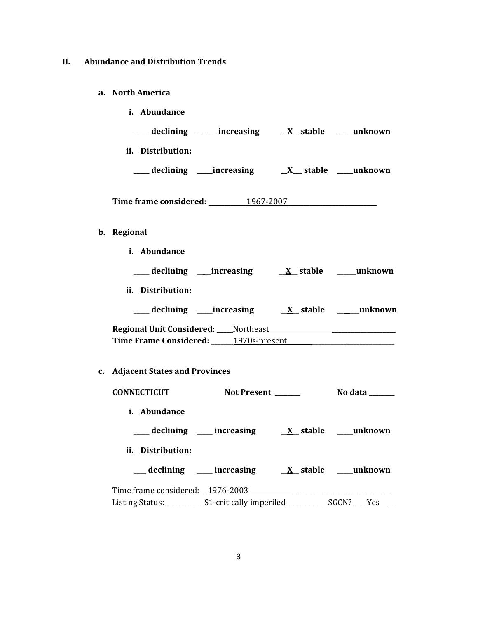# **II. Abundance and Distribution Trends**

# **a. North America**

**b. Regional**

|             | i. Abundance                     |                                                                                                                                                                     |                       |
|-------------|----------------------------------|---------------------------------------------------------------------------------------------------------------------------------------------------------------------|-----------------------|
|             |                                  | ___ declining ____ increasing ___ X_ stable ___ unknown                                                                                                             |                       |
|             | ii. Distribution:                |                                                                                                                                                                     |                       |
|             |                                  |                                                                                                                                                                     |                       |
|             |                                  | Time frame considered: 1967-2007                                                                                                                                    |                       |
| b. Regional |                                  |                                                                                                                                                                     |                       |
|             | i. Abundance                     |                                                                                                                                                                     |                       |
|             |                                  |                                                                                                                                                                     |                       |
|             | ii. Distribution:                |                                                                                                                                                                     |                       |
|             |                                  |                                                                                                                                                                     |                       |
|             |                                  | Regional Unit Considered: Northeast National Processors Analysis Regional Unit Considered: National According<br>Time Frame Considered: 1970s-present 1970s-present |                       |
|             | c. Adjacent States and Provinces |                                                                                                                                                                     |                       |
|             |                                  | CONNECTICUT Not Present ______                                                                                                                                      | <b>No data</b> ______ |
|             | i. Abundance                     |                                                                                                                                                                     |                       |
|             |                                  | ___ declining ___ increasing ___ <i>X_</i> stable ___ unknown                                                                                                       |                       |
|             | ii. Distribution:                |                                                                                                                                                                     |                       |
|             |                                  | __declining ___ increasing ___ X_stable ___unknown                                                                                                                  |                       |
|             |                                  | Time frame considered: 1976-2003                                                                                                                                    |                       |
|             |                                  |                                                                                                                                                                     |                       |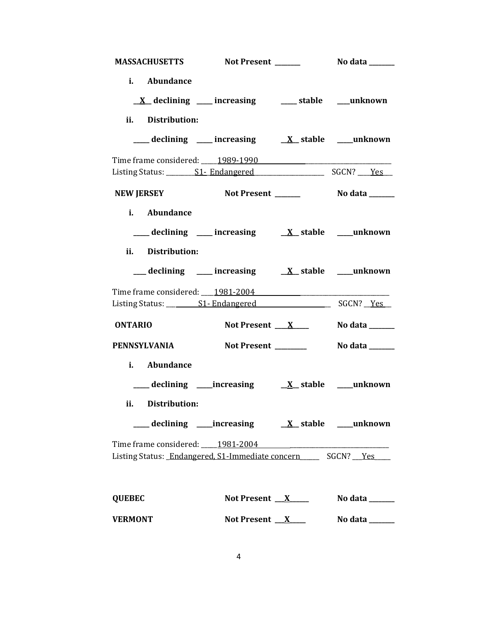| <b>MASSACHUSETTS</b> |                                                                                                                                         |                             |
|----------------------|-----------------------------------------------------------------------------------------------------------------------------------------|-----------------------------|
| i. Abundance         |                                                                                                                                         |                             |
|                      | $\underline{X}$ declining ___ increasing ___ stable ___ unknown                                                                         |                             |
| ii. Distribution:    |                                                                                                                                         |                             |
|                      | $\frac{1}{\sqrt{1-x^2}}$ declining $\frac{1}{\sqrt{1-x^2}}$ increasing $\frac{1}{\sqrt{1-x^2}}$ stable $\frac{1}{\sqrt{1-x^2}}$ unknown |                             |
|                      | Time frame considered: 1989-1990                                                                                                        |                             |
|                      |                                                                                                                                         |                             |
| <b>NEW JERSEY</b>    |                                                                                                                                         |                             |
| i. Abundance         |                                                                                                                                         |                             |
|                      | ___ declining ___ increasing ___ X_ stable ___ unknown                                                                                  |                             |
| ii. Distribution:    |                                                                                                                                         |                             |
|                      |                                                                                                                                         |                             |
|                      | Time frame considered: 1981-2004                                                                                                        |                             |
|                      |                                                                                                                                         |                             |
| <b>ONTARIO</b>       | Not Present $X_{\text{max}}$                                                                                                            | No data ______              |
| <b>PENNSYLVANIA</b>  | Not Present _______                                                                                                                     | No data ______              |
| i. Abundance         |                                                                                                                                         |                             |
|                      |                                                                                                                                         |                             |
| ii. Distribution:    |                                                                                                                                         |                             |
|                      |                                                                                                                                         |                             |
|                      |                                                                                                                                         |                             |
|                      | Listing Status: Endangered, S1-Immediate concern ______ SGCN? __ Yes                                                                    |                             |
|                      |                                                                                                                                         |                             |
| <b>QUEBEC</b>        |                                                                                                                                         | Not Present $X$ No data $X$ |
| <b>VERMONT</b>       | Not Present <u>X</u>                                                                                                                    | No data ______              |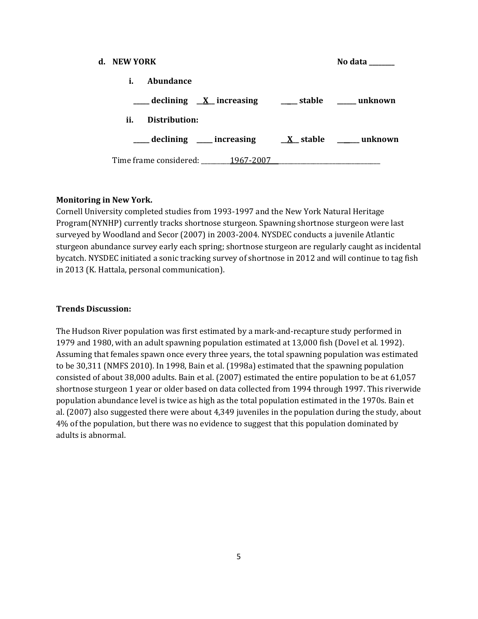| d. NEW YORK |               |                                                           | No data |
|-------------|---------------|-----------------------------------------------------------|---------|
| i.          | Abundance     |                                                           |         |
|             |               | ___ declining <u>X</u> increasing ___ stable ___ unknown  |         |
| ii.         | Distribution: |                                                           |         |
|             |               | declining ____ increasing _____ x__ stable ______ unknown |         |
|             |               | Time frame considered: _______1967-2007                   |         |

### **Monitoring in New York.**

Cornell University completed studies from 1993-1997 and the New York Natural Heritage Program(NYNHP) currently tracks shortnose sturgeon. Spawning shortnose sturgeon were last surveyed by Woodland and Secor (2007) in 2003-2004. NYSDEC conducts a juvenile Atlantic sturgeon abundance survey early each spring; shortnose sturgeon are regularly caught as incidental bycatch. NYSDEC initiated a sonic tracking survey of shortnose in 2012 and will continue to tag fish in 2013 (K. Hattala, personal communication).

#### **Trends Discussion:**

The Hudson River population was first estimated by a mark-and-recapture study performed in 1979 and 1980, with an adult spawning population estimated at 13,000 fish (Dovel et al. 1992). Assuming that females spawn once every three years, the total spawning population was estimated to be 30,311 (NMFS 2010). In 1998, Bain et al. (1998a) estimated that the spawning population consisted of about 38,000 adults. Bain et al. (2007) estimated the entire population to be at 61,057 shortnose sturgeon 1 year or older based on data collected from 1994 through 1997. This riverwide population abundance level is twice as high as the total population estimated in the 1970s. Bain et al. (2007) also suggested there were about 4,349 juveniles in the population during the study, about 4% of the population, but there was no evidence to suggest that this population dominated by adults is abnormal.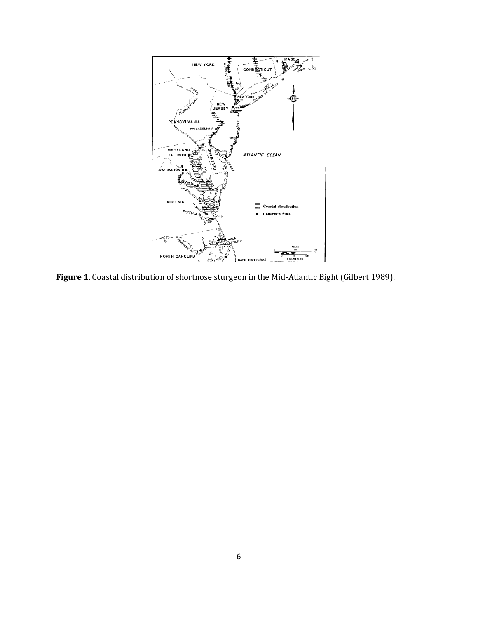

**Figure 1**. Coastal distribution of shortnose sturgeon in the Mid-Atlantic Bight (Gilbert 1989).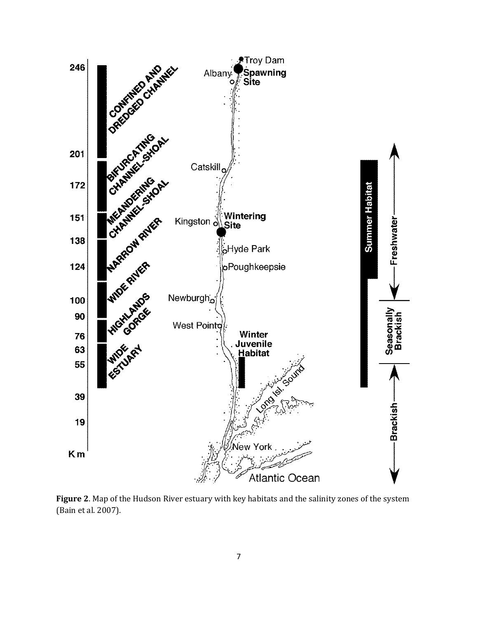

**Figure 2**. Map of the Hudson River estuary with key habitats and the salinity zones of the system (Bain et al. 2007).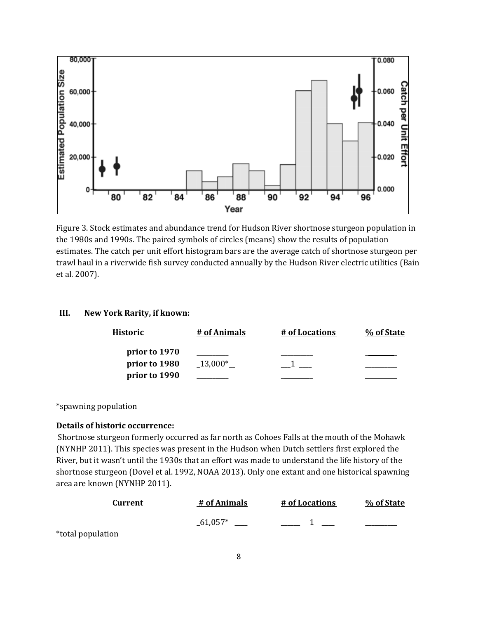

Figure 3. Stock estimates and abundance trend for Hudson River shortnose sturgeon population in the 1980s and 1990s. The paired symbols of circles (means) show the results of population estimates. The catch per unit effort histogram bars are the average catch of shortnose sturgeon per trawl haul in a riverwide fish survey conducted annually by the Hudson River electric utilities (Bain et al. 2007).

# **III. New York Rarity, if known:**

| Historic                       | # of Animals | # of Locations | % of State |
|--------------------------------|--------------|----------------|------------|
| prior to 1970<br>prior to 1980 | 13.000*      |                |            |
| prior to 1990                  |              |                |            |

\*spawning population

# **Details of historic occurrence:**

Shortnose sturgeon formerly occurred as far north as Cohoes Falls at the mouth of the Mohawk (NYNHP 2011). This species was present in the Hudson when Dutch settlers first explored the River, but it wasn't until the 1930s that an effort was made to understand the life history of the shortnose sturgeon (Dovel et al. 1992, NOAA 2013). Only one extant and one historical spawning area are known (NYNHP 2011).

| Current           | # of Animals | # of Locations | % of State |
|-------------------|--------------|----------------|------------|
|                   | 61,057*      |                |            |
| *total population |              |                |            |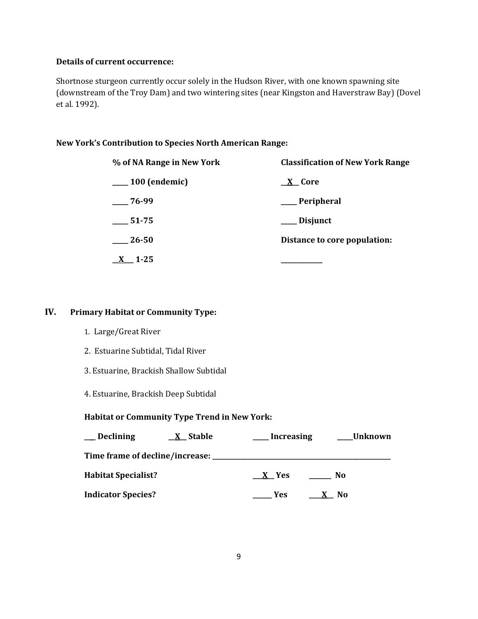# **Details of current occurrence:**

Shortnose sturgeon currently occur solely in the Hudson River, with one known spawning site (downstream of the Troy Dam) and two wintering sites (near Kingston and Haverstraw Bay) (Dovel et al. 1992).

# **New York's Contribution to Species North American Range:**

| % of NA Range in New York | <b>Classification of New York Range</b> |  |  |
|---------------------------|-----------------------------------------|--|--|
| $\frac{100}{2}$ (endemic) | X Core                                  |  |  |
| $-76-99$                  | __ Peripheral                           |  |  |
| $-51-75$                  | ___ Disjunct                            |  |  |
| $\frac{-26}{50}$          | Distance to core population:            |  |  |
| $1 - 25$                  |                                         |  |  |

# **IV. Primary Habitat or Community Type:**

- 1. Large/Great River
- 2. Estuarine Subtidal, Tidal River
- 3. Estuarine, Brackish Shallow Subtidal
- 4. Estuarine, Brackish Deep Subtidal

### **Habitat or Community Type Trend in New York:**

| <b>Declining</b>           | <u>X</u> Stable                     | <b>Increasing</b> | Unknown |  |
|----------------------------|-------------------------------------|-------------------|---------|--|
|                            | Time frame of decline/increase: ___ |                   |         |  |
| <b>Habitat Specialist?</b> |                                     | X Yes             | No.     |  |
| <b>Indicator Species?</b>  |                                     | <b>Yes</b>        | - No    |  |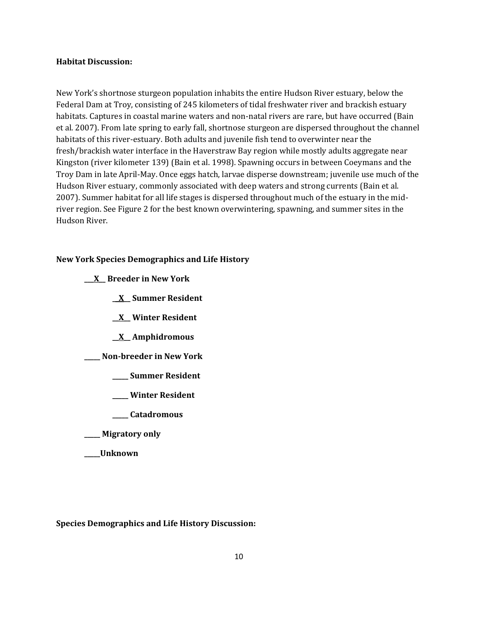#### **Habitat Discussion:**

New York's shortnose sturgeon population inhabits the entire Hudson River estuary, below the Federal Dam at Troy, consisting of 245 kilometers of tidal freshwater river and brackish estuary habitats. Captures in coastal marine waters and non-natal rivers are rare, but have occurred (Bain et al. 2007). From late spring to early fall, shortnose sturgeon are dispersed throughout the channel habitats of this river-estuary. Both adults and juvenile fish tend to overwinter near the fresh/brackish water interface in the Haverstraw Bay region while mostly adults aggregate near Kingston (river kilometer 139) (Bain et al. 1998). Spawning occurs in between Coeymans and the Troy Dam in late April-May. Once eggs hatch, larvae disperse downstream; juvenile use much of the Hudson River estuary, commonly associated with deep waters and strong currents (Bain et al. 2007). Summer habitat for all life stages is dispersed throughout much of the estuary in the midriver region. See Figure 2 for the best known overwintering, spawning, and summer sites in the Hudson River.

### **New York Species Demographics and Life History**

|  | X Breeder in New York |  |  |
|--|-----------------------|--|--|
|--|-----------------------|--|--|

**\_\_X\_\_ Summer Resident**

- **\_\_X\_\_ Winter Resident**
- **\_\_X\_\_ Amphidromous**

**\_\_\_\_\_ Non-breeder in New York**

- **\_\_\_\_\_ Summer Resident**
- **\_\_\_\_\_ Winter Resident**
- **\_\_\_\_\_ Catadromous**
- **\_\_\_\_\_ Migratory only**
- **\_\_\_\_\_Unknown**

**Species Demographics and Life History Discussion:**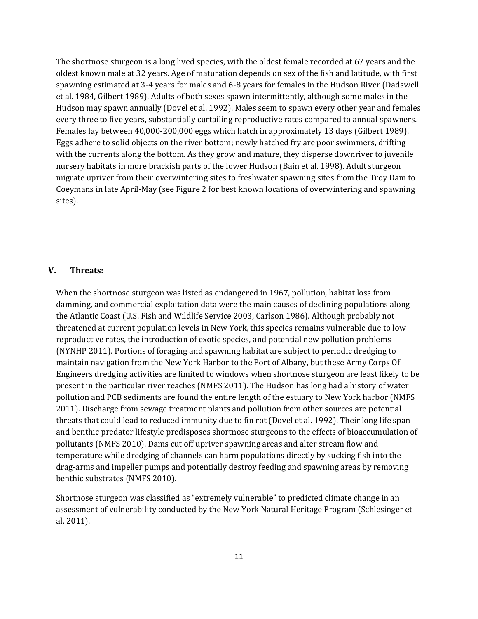The shortnose sturgeon is a long lived species, with the oldest female recorded at 67 years and the oldest known male at 32 years. Age of maturation depends on sex of the fish and latitude, with first spawning estimated at 3-4 years for males and 6-8 years for females in the Hudson River (Dadswell et al. 1984, Gilbert 1989). Adults of both sexes spawn intermittently, although some males in the Hudson may spawn annually (Dovel et al. 1992). Males seem to spawn every other year and females every three to five years, substantially curtailing reproductive rates compared to annual spawners. Females lay between 40,000-200,000 eggs which hatch in approximately 13 days (Gilbert 1989). Eggs adhere to solid objects on the river bottom; newly hatched fry are poor swimmers, drifting with the currents along the bottom. As they grow and mature, they disperse downriver to juvenile nursery habitats in more brackish parts of the lower Hudson (Bain et al. 1998). Adult sturgeon migrate upriver from their overwintering sites to freshwater spawning sites from the Troy Dam to Coeymans in late April-May (see Figure 2 for best known locations of overwintering and spawning sites).

#### **V. Threats:**

When the shortnose sturgeon was listed as endangered in 1967, pollution, habitat loss from damming, and commercial exploitation data were the main causes of declining populations along the Atlantic Coast (U.S. Fish and Wildlife Service 2003, Carlson 1986). Although probably not threatened at current population levels in New York, this species remains vulnerable due to low reproductive rates, the introduction of exotic species, and potential new pollution problems (NYNHP 2011). Portions of foraging and spawning habitat are subject to periodic dredging to maintain navigation from the New York Harbor to the Port of Albany, but these Army Corps Of Engineers dredging activities are limited to windows when shortnose sturgeon are least likely to be present in the particular river reaches (NMFS 2011). The Hudson has long had a history of water pollution and PCB sediments are found the entire length of the estuary to New York harbor (NMFS 2011). Discharge from sewage treatment plants and pollution from other sources are potential threats that could lead to reduced immunity due to fin rot (Dovel et al. 1992). Their long life span and benthic predator lifestyle predisposes shortnose sturgeons to the effects of bioaccumulation of pollutants (NMFS 2010). Dams cut off upriver spawning areas and alter stream flow and temperature while dredging of channels can harm populations directly by sucking fish into the drag-arms and impeller pumps and potentially destroy feeding and spawning areas by removing benthic substrates (NMFS 2010).

Shortnose sturgeon was classified as "extremely vulnerable" to predicted climate change in an assessment of vulnerability conducted by the New York Natural Heritage Program (Schlesinger et al. 2011).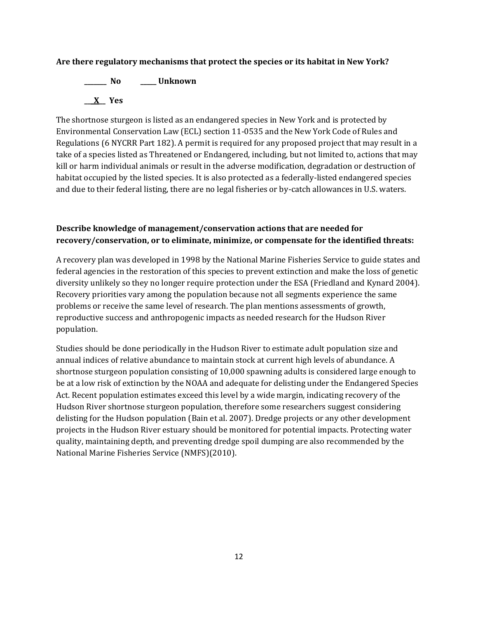# **Are there regulatory mechanisms that protect the species or its habitat in New York?**

**\_\_\_\_\_\_\_ No \_\_\_\_\_ Unknown \_\_\_X\_\_ Yes** 

The shortnose sturgeon is listed as an endangered species in New York and is protected by Environmental Conservation Law (ECL) section 11-0535 and the New York Code of Rules and Regulations (6 NYCRR Part 182). A permit is required for any proposed project that may result in a take of a species listed as Threatened or Endangered, including, but not limited to, actions that may kill or harm individual animals or result in the adverse modification, degradation or destruction of habitat occupied by the listed species. It is also protected as a federally-listed endangered species and due to their federal listing, there are no legal fisheries or by-catch allowances in U.S. waters.

# **Describe knowledge of management/conservation actions that are needed for recovery/conservation, or to eliminate, minimize, or compensate for the identified threats:**

A recovery plan was developed in 1998 by the National Marine Fisheries Service to guide states and federal agencies in the restoration of this species to prevent extinction and make the loss of genetic diversity unlikely so they no longer require protection under the ESA (Friedland and Kynard 2004). Recovery priorities vary among the population because not all segments experience the same problems or receive the same level of research. The plan mentions assessments of growth, reproductive success and anthropogenic impacts as needed research for the Hudson River population.

Studies should be done periodically in the Hudson River to estimate adult population size and annual indices of relative abundance to maintain stock at current high levels of abundance. A shortnose sturgeon population consisting of 10,000 spawning adults is considered large enough to be at a low risk of extinction by the NOAA and adequate for delisting under the Endangered Species Act. Recent population estimates exceed this level by a wide margin, indicating recovery of the Hudson River shortnose sturgeon population, therefore some researchers suggest considering delisting for the Hudson population (Bain et al. 2007). Dredge projects or any other development projects in the Hudson River estuary should be monitored for potential impacts. Protecting water quality, maintaining depth, and preventing dredge spoil dumping are also recommended by the National Marine Fisheries Service (NMFS)(2010).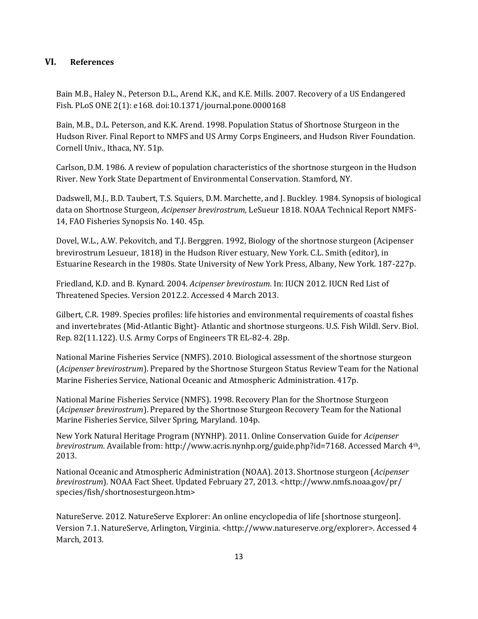# **VI. References**

Bain M.B., Haley N., Peterson D.L., Arend K.K., and K.E. Mills. 2007. Recovery of a US Endangered Fish. PLoS ONE 2(1): e168. doi:10.1371/journal.pone.0000168

Bain, M.B., D.L. Peterson, and K.K. Arend. 1998. Population Status of Shortnose Sturgeon in the Hudson River. Final Report to NMFS and US Army Corps Engineers, and Hudson River Foundation. Cornell Univ., Ithaca, NY. 51p.

Carlson, D.M. 1986. A review of population characteristics of the shortnose sturgeon in the Hudson River. New York State Department of Environmental Conservation. Stamford, NY.

Dadswell, M.J., B.D. Taubert, T.S. Squiers, D.M. Marchette, and J. Buckley. 1984. Synopsis of biological data on Shortnose Sturgeon, *Acipenser brevirostrum,* LeSueur 1818. NOAA Technical Report NMFS-14, FAO Fisheries Synopsis No. 140. 45p.

Dovel, W.L., A.W. Pekovitch, and T.J. Berggren. 1992, Biology of the shortnose sturgeon (Acipenser brevirostrum Lesueur, 1818) in the Hudson River estuary, New York. C.L. Smith (editor), in Estuarine Research in the 1980s. State University of New York Press, Albany, New York. 187-227p.

Friedland, K.D. and B. Kynard. 2004. *Acipenser brevirostum*. In: IUCN 2012. IUCN Red List of Threatened Species. Version 2012.2. Accessed 4 March 2013.

Gilbert, C.R. 1989. Species profiles: life histories and environmental requirements of coastal fishes and invertebrates (Mid-Atlantic Bight)- Atlantic and shortnose sturgeons. U.S. Fish Wildl. Serv. Biol. Rep. 82(11.122). U.S. Army Corps of Engineers TR EL-82-4. 28p.

National Marine Fisheries Service (NMFS). 2010. Biological assessment of the shortnose sturgeon (*Acipenser brevirostrum*). Prepared by the Shortnose Sturgeon Status Review Team for the National Marine Fisheries Service, National Oceanic and Atmospheric Administration. 417p.

National Marine Fisheries Service (NMFS). 1998. Recovery Plan for the Shortnose Sturgeon (*Acipenser brevirostrum*). Prepared by the Shortnose Sturgeon Recovery Team for the National Marine Fisheries Service, Silver Spring, Maryland. 104p.

New York Natural Heritage Program (NYNHP). 2011. Online Conservation Guide for *Acipenser brevirostrum*. Available from: http://www.acris.nynhp.org/guide.php?id=7168. Accessed March 4th, 2013.

National Oceanic and Atmospheric Administration (NOAA). 2013. Shortnose sturgeon (*Acipenser brevirostrum*). NOAA Fact Sheet. Updated February 27, 2013. <http://www.nmfs.noaa.gov/pr/ species/fish/shortnosesturgeon.htm>

NatureServe. 2012. NatureServe Explorer: An online encyclopedia of life [shortnose sturgeon]. Version 7.1. NatureServe, Arlington, Virginia. <http://www.natureserve.org/explorer>. Accessed 4 March, 2013.